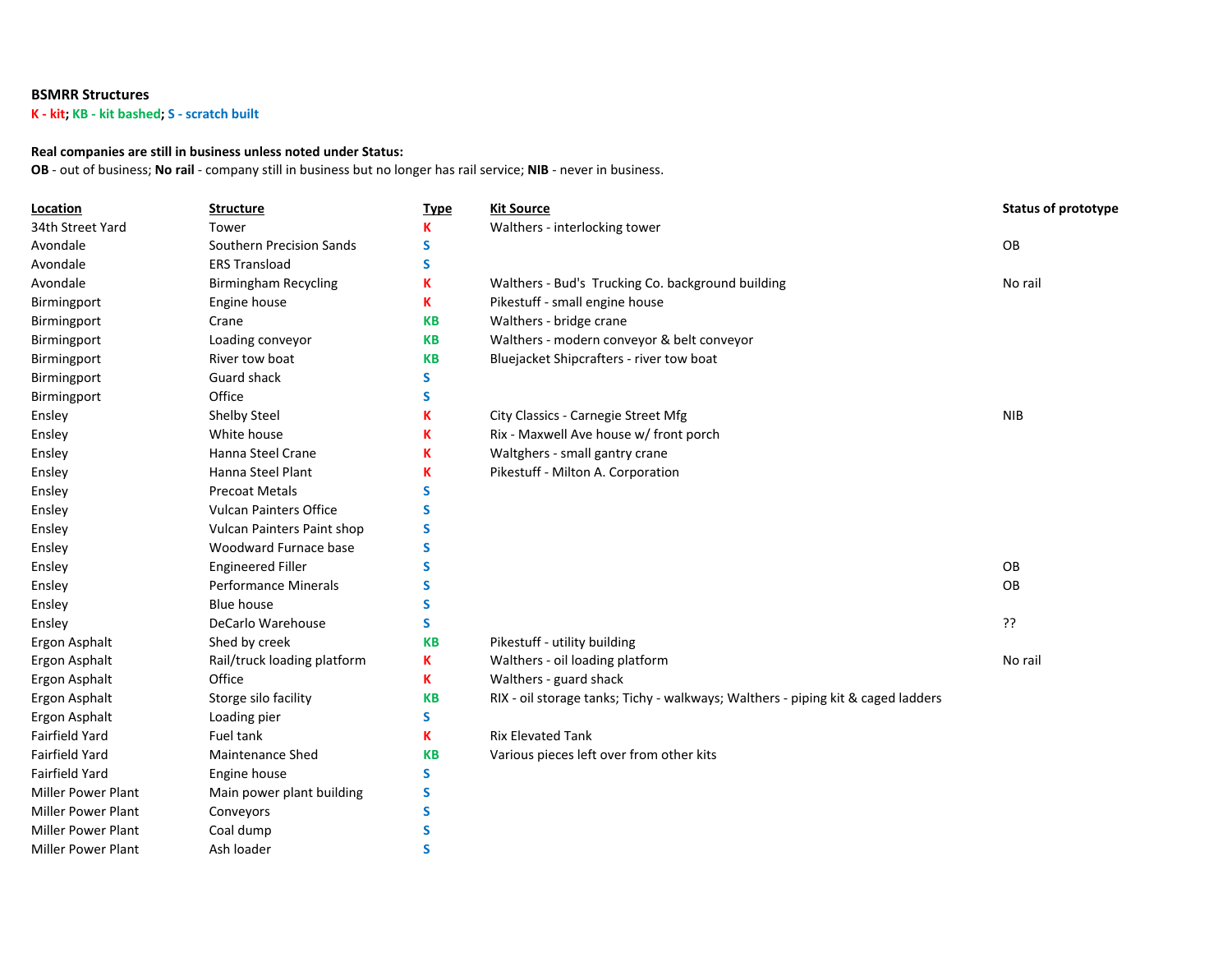## **BSMRR Structures**

**K - kit; KB - kit bashed; S - scratch built**

## **Real companies are still in business unless noted under Status:**

**OB** - out of business; **No rail** - company still in business but no longer has rail service; **NIB** - never in business.

| Location                  | <b>Structure</b>              | <b>Type</b> | <b>Kit Source</b>                                                                | <b>Status of prototype</b> |
|---------------------------|-------------------------------|-------------|----------------------------------------------------------------------------------|----------------------------|
| 34th Street Yard          | Tower                         | K           | Walthers - interlocking tower                                                    |                            |
| Avondale                  | Southern Precision Sands      | S           |                                                                                  | OB                         |
| Avondale                  | <b>ERS Transload</b>          | S           |                                                                                  |                            |
| Avondale                  | <b>Birmingham Recycling</b>   | K           | Walthers - Bud's Trucking Co. background building                                | No rail                    |
| Birmingport               | Engine house                  | K           | Pikestuff - small engine house                                                   |                            |
| Birmingport               | Crane                         | <b>KB</b>   | Walthers - bridge crane                                                          |                            |
| Birmingport               | Loading conveyor              | <b>KB</b>   | Walthers - modern conveyor & belt conveyor                                       |                            |
| Birmingport               | River tow boat                | <b>KB</b>   | Bluejacket Shipcrafters - river tow boat                                         |                            |
| Birmingport               | Guard shack                   | S           |                                                                                  |                            |
| Birmingport               | Office                        | S           |                                                                                  |                            |
| Ensley                    | Shelby Steel                  | K           | City Classics - Carnegie Street Mfg                                              | <b>NIB</b>                 |
| Ensley                    | White house                   | K           | Rix - Maxwell Ave house w/ front porch                                           |                            |
| Ensley                    | Hanna Steel Crane             | K           | Waltghers - small gantry crane                                                   |                            |
| Ensley                    | Hanna Steel Plant             | K           | Pikestuff - Milton A. Corporation                                                |                            |
| Ensley                    | <b>Precoat Metals</b>         | s           |                                                                                  |                            |
| Ensley                    | <b>Vulcan Painters Office</b> | S           |                                                                                  |                            |
| Ensley                    | Vulcan Painters Paint shop    | S           |                                                                                  |                            |
| Ensley                    | Woodward Furnace base         | S           |                                                                                  |                            |
| Ensley                    | <b>Engineered Filler</b>      | S           |                                                                                  | OB                         |
| Ensley                    | <b>Performance Minerals</b>   | S           |                                                                                  | OB                         |
| Ensley                    | <b>Blue house</b>             | S.          |                                                                                  |                            |
| Ensley                    | DeCarlo Warehouse             | S.          |                                                                                  | ??                         |
| Ergon Asphalt             | Shed by creek                 | <b>KB</b>   | Pikestuff - utility building                                                     |                            |
| Ergon Asphalt             | Rail/truck loading platform   | K           | Walthers - oil loading platform                                                  | No rail                    |
| Ergon Asphalt             | Office                        | K           | Walthers - guard shack                                                           |                            |
| Ergon Asphalt             | Storge silo facility          | <b>KB</b>   | RIX - oil storage tanks; Tichy - walkways; Walthers - piping kit & caged ladders |                            |
| Ergon Asphalt             | Loading pier                  | S           |                                                                                  |                            |
| Fairfield Yard            | Fuel tank                     | K           | <b>Rix Elevated Tank</b>                                                         |                            |
| Fairfield Yard            | <b>Maintenance Shed</b>       | <b>KB</b>   | Various pieces left over from other kits                                         |                            |
| Fairfield Yard            | Engine house                  | S           |                                                                                  |                            |
| <b>Miller Power Plant</b> | Main power plant building     | S           |                                                                                  |                            |
| <b>Miller Power Plant</b> | Conveyors                     | S           |                                                                                  |                            |
| <b>Miller Power Plant</b> | Coal dump                     | S           |                                                                                  |                            |
| Miller Power Plant        | Ash loader                    | Ś           |                                                                                  |                            |